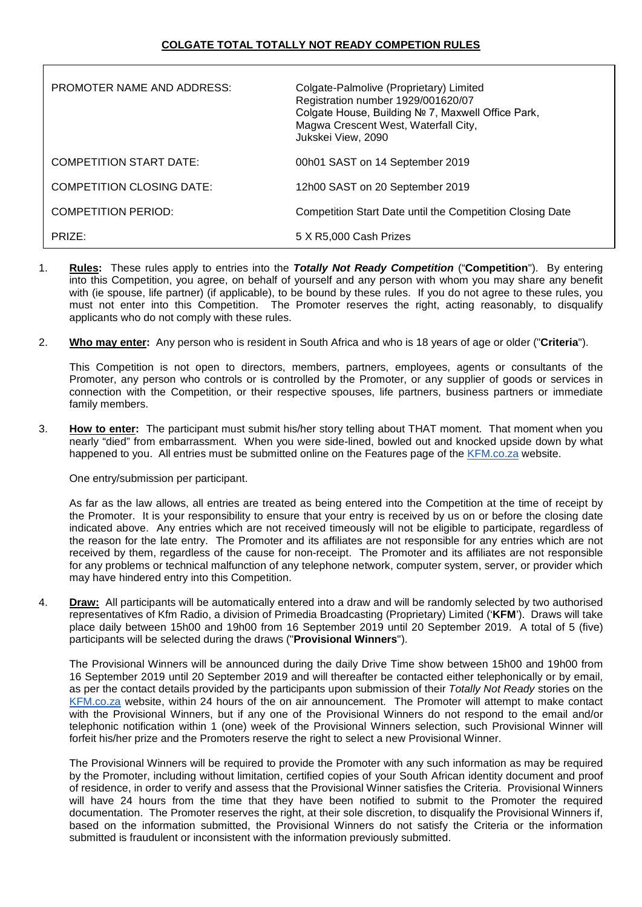| <b>PROMOTER NAME AND ADDRESS:</b> | Colgate-Palmolive (Proprietary) Limited<br>Registration number 1929/001620/07<br>Colgate House, Building № 7, Maxwell Office Park,<br>Magwa Crescent West, Waterfall City,<br>Jukskei View, 2090 |
|-----------------------------------|--------------------------------------------------------------------------------------------------------------------------------------------------------------------------------------------------|
| <b>COMPETITION START DATE:</b>    | 00h01 SAST on 14 September 2019                                                                                                                                                                  |
| <b>COMPETITION CLOSING DATE:</b>  | 12h00 SAST on 20 September 2019                                                                                                                                                                  |
| COMPETITION PERIOD:               | Competition Start Date until the Competition Closing Date                                                                                                                                        |
| PRIZE:                            | 5 X R5,000 Cash Prizes                                                                                                                                                                           |

- 1. **Rules:** These rules apply to entries into the *Totally Not Ready Competition* ("**Competition**"). By entering into this Competition, you agree, on behalf of yourself and any person with whom you may share any benefit with (ie spouse, life partner) (if applicable), to be bound by these rules. If you do not agree to these rules, you must not enter into this Competition. The Promoter reserves the right, acting reasonably, to disqualify applicants who do not comply with these rules.
- 2. **Who may enter:** Any person who is resident in South Africa and who is 18 years of age or older ("**Criteria**").

This Competition is not open to directors, members, partners, employees, agents or consultants of the Promoter, any person who controls or is controlled by the Promoter, or any supplier of goods or services in connection with the Competition, or their respective spouses, life partners, business partners or immediate family members.

3. **How to enter:** The participant must submit his/her story telling about THAT moment. That moment when you nearly "died" from embarrassment. When you were side-lined, bowled out and knocked upside down by what happened to you. All entries must be submitted online on the Features page of the [KFM.co.za](http://kfm.co.za/) website.

One entry/submission per participant.

As far as the law allows, all entries are treated as being entered into the Competition at the time of receipt by the Promoter. It is your responsibility to ensure that your entry is received by us on or before the closing date indicated above. Any entries which are not received timeously will not be eligible to participate, regardless of the reason for the late entry. The Promoter and its affiliates are not responsible for any entries which are not received by them, regardless of the cause for non-receipt. The Promoter and its affiliates are not responsible for any problems or technical malfunction of any telephone network, computer system, server, or provider which may have hindered entry into this Competition.

4. **Draw:** All participants will be automatically entered into a draw and will be randomly selected by two authorised representatives of Kfm Radio, a division of Primedia Broadcasting (Proprietary) Limited ('**KFM**'). Draws will take place daily between 15h00 and 19h00 from 16 September 2019 until 20 September 2019. A total of 5 (five) participants will be selected during the draws ("**Provisional Winners**").

The Provisional Winners will be announced during the daily Drive Time show between 15h00 and 19h00 from 16 September 2019 until 20 September 2019 and will thereafter be contacted either telephonically or by email, as per the contact details provided by the participants upon submission of their *Totally Not Ready* stories on the [KFM.co.za](http://kfm.co.za/) website, within 24 hours of the on air announcement. The Promoter will attempt to make contact with the Provisional Winners, but if any one of the Provisional Winners do not respond to the email and/or telephonic notification within 1 (one) week of the Provisional Winners selection, such Provisional Winner will forfeit his/her prize and the Promoters reserve the right to select a new Provisional Winner.

The Provisional Winners will be required to provide the Promoter with any such information as may be required by the Promoter, including without limitation, certified copies of your South African identity document and proof of residence, in order to verify and assess that the Provisional Winner satisfies the Criteria. Provisional Winners will have 24 hours from the time that they have been notified to submit to the Promoter the required documentation. The Promoter reserves the right, at their sole discretion, to disqualify the Provisional Winners if, based on the information submitted, the Provisional Winners do not satisfy the Criteria or the information submitted is fraudulent or inconsistent with the information previously submitted.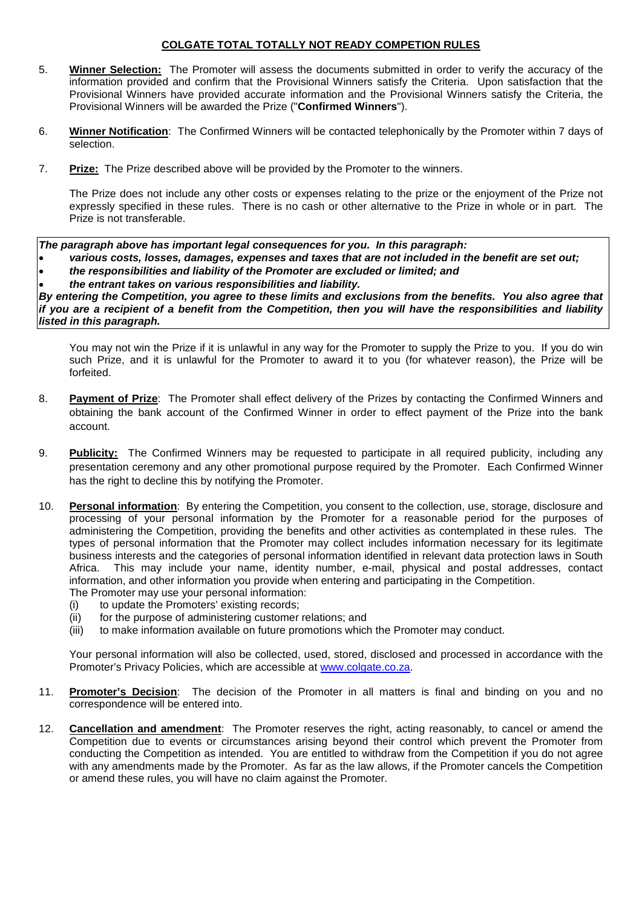## **COLGATE TOTAL TOTALLY NOT READY COMPETION RULES**

- 5. **Winner Selection:** The Promoter will assess the documents submitted in order to verify the accuracy of the information provided and confirm that the Provisional Winners satisfy the Criteria. Upon satisfaction that the Provisional Winners have provided accurate information and the Provisional Winners satisfy the Criteria, the Provisional Winners will be awarded the Prize ("**Confirmed Winners**").
- 6. **Winner Notification**: The Confirmed Winners will be contacted telephonically by the Promoter within 7 days of selection.
- 7. **Prize:** The Prize described above will be provided by the Promoter to the winners.

The Prize does not include any other costs or expenses relating to the prize or the enjoyment of the Prize not expressly specified in these rules. There is no cash or other alternative to the Prize in whole or in part. The Prize is not transferable.

*The paragraph above has important legal consequences for you. In this paragraph:*

- *various costs, losses, damages, expenses and taxes that are not included in the benefit are set out;* • *the responsibilities and liability of the Promoter are excluded or limited; and*
- *the entrant takes on various responsibilities and liability.*

*By entering the Competition, you agree to these limits and exclusions from the benefits. You also agree that if you are a recipient of a benefit from the Competition, then you will have the responsibilities and liability listed in this paragraph.*

You may not win the Prize if it is unlawful in any way for the Promoter to supply the Prize to you. If you do win such Prize, and it is unlawful for the Promoter to award it to you (for whatever reason), the Prize will be forfeited.

- 8. **Payment of Prize**: The Promoter shall effect delivery of the Prizes by contacting the Confirmed Winners and obtaining the bank account of the Confirmed Winner in order to effect payment of the Prize into the bank account.
- 9. **Publicity:** The Confirmed Winners may be requested to participate in all required publicity, including any presentation ceremony and any other promotional purpose required by the Promoter. Each Confirmed Winner has the right to decline this by notifying the Promoter.
- 10. **Personal information**: By entering the Competition, you consent to the collection, use, storage, disclosure and processing of your personal information by the Promoter for a reasonable period for the purposes of administering the Competition, providing the benefits and other activities as contemplated in these rules. The types of personal information that the Promoter may collect includes information necessary for its legitimate business interests and the categories of personal information identified in relevant data protection laws in South Africa. This may include your name, identity number, e-mail, physical and postal addresses, contact information, and other information you provide when entering and participating in the Competition. The Promoter may use your personal information:
	-
	- (i) to update the Promoters' existing records;<br>(ii) for the purpose of administering customer for the purpose of administering customer relations; and
	- (iii) to make information available on future promotions which the Promoter may conduct.

Your personal information will also be collected, used, stored, disclosed and processed in accordance with the Promoter's Privacy Policies, which are accessible at [www.colgate.co.za.](http://www.colgate.co.za/)

- 11. **Promoter's Decision**: The decision of the Promoter in all matters is final and binding on you and no correspondence will be entered into.
- 12. **Cancellation and amendment**: The Promoter reserves the right, acting reasonably, to cancel or amend the Competition due to events or circumstances arising beyond their control which prevent the Promoter from conducting the Competition as intended. You are entitled to withdraw from the Competition if you do not agree with any amendments made by the Promoter. As far as the law allows, if the Promoter cancels the Competition or amend these rules, you will have no claim against the Promoter.